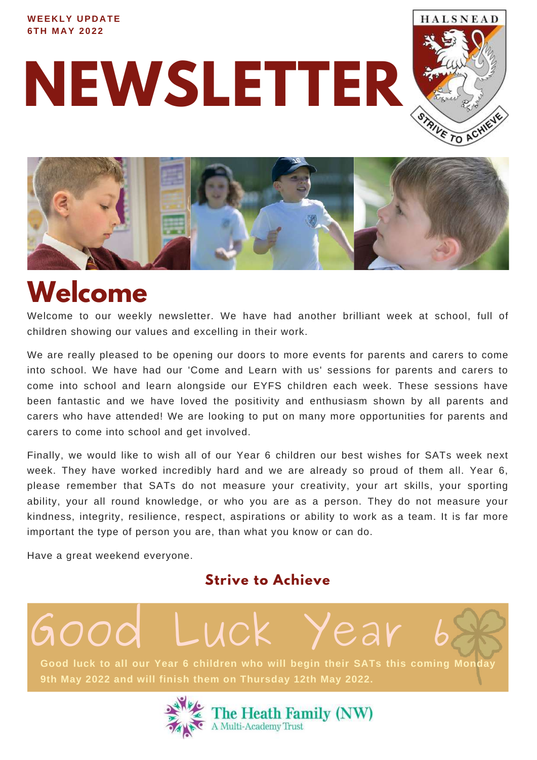### **WEEKLY UPDATE 6TH M AY 2 0 2 2**

**NEWSLETTER**





# **Welcome**

Welcome to our weekly newsletter. We have had another brilliant week at school, full of children showing our values and excelling in their work.

We are really pleased to be opening our doors to more events for parents and carers to come into school. We have had our 'Come and Learn with us' sessions for parents and carers to come into school and learn alongside our EYFS children each week. These sessions have been fantastic and we have loved the positivity and enthusiasm shown by all parents and carers who have attended! We are looking to put on many more opportunities for parents and carers to come into school and get involved.

Finally, we would like to wish all of our Year 6 children our best wishes for SATs week next week. They have worked incredibly hard and we are already so proud of them all. Year 6, please remember that SATs do not measure your creativity, your art skills, your sporting ability, your all round knowledge, or who you are as a person. They do not measure your kindness, integrity, resilience, respect, aspirations or ability to work as a team. It is far more important the type of person you are, than what you know or can do.

Have a great weekend everyone.

### **Strive to Achieve**

**Good luck to all our Year 6 children who will begin their SATs this coming Monday 9th May 2022 and will finish them on Thursday 12th May 2022.** Good Luck Year

The Heath Family (NW) A Multi-Academy Trust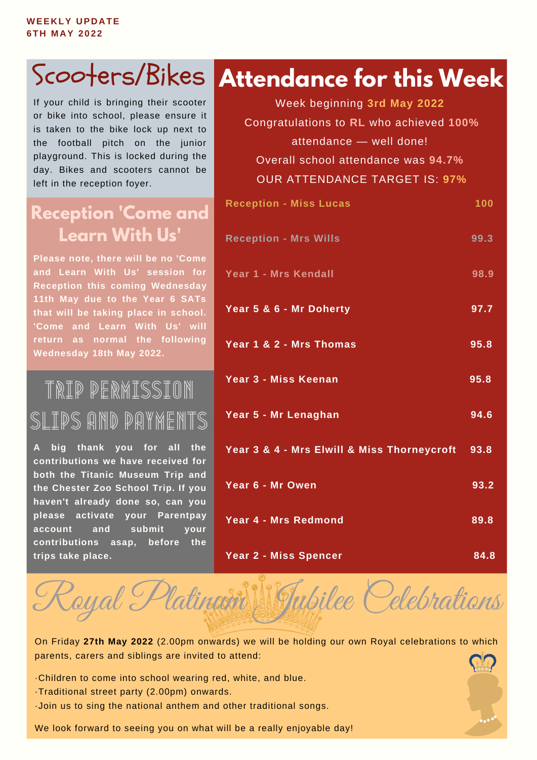If your child is bringing their scooter or bike into school, please ensure it is taken to the bike lock up next to the football pitch on the junior playground. This is locked during the day. Bikes and scooters cannot be left in the reception foyer.

### **Reception 'Come and Learn With Us'**

**Please note, there will be no 'Come and Learn With Us' session for Reception this coming Wednesday 11th May due to the Year 6 SATs that will be taking place in school. 'Come and Learn With Us' will return as normal the following Wednesday 18th May 2022.**

Trip permission Slips and Payments

**A big thank you for all the contributions we have received for both the Titanic Museum Trip and the Chester Zoo School Trip. If you haven't already done so, can you please activate your Parentpay account and submit your contributions asap, before the trips take place.**

## **Attendance for this Week** Scooters/Bikes

**Reception - Miss Lucas 100 Reception - Mrs Wills 99.3 Year 1 - Mrs Kendall 98.9 Year 5 & 6 - Mr Doherty 97.7 Year 1 & 2 - Mrs Thomas 95.8 Year 3 - Miss Keenan 95.8 Year 5 - Mr Lenaghan 94.6 Year 3 & 4 - Mrs Elwill & Miss Thorneycroft 93.8 Year 6 - Mr Owen 93.2 Year 4 - Mrs Redmond 89.8** Week beginning **3rd May 2022** Congratulations to **RL** who achieved **100%** attendance — well done! Overall school attendance was **94.7%** OUR ATTENDANCE TARGET IS: **97%**

**Year 2 - Miss Spencer 84.8**

On Friday **27th May 2022** (2.00pm onwards) we will be holding our own Royal celebrations to which parents, carers and siblings are invited to attend:

Royal Platinem Jubilee Celebrations

- ·Children to come into school wearing red, white, and blue.
- ·Traditional street party (2.00pm) onwards.
- ·Join us to sing the national anthem and other traditional songs.

We look forward to seeing you on what will be a really enjoyable day!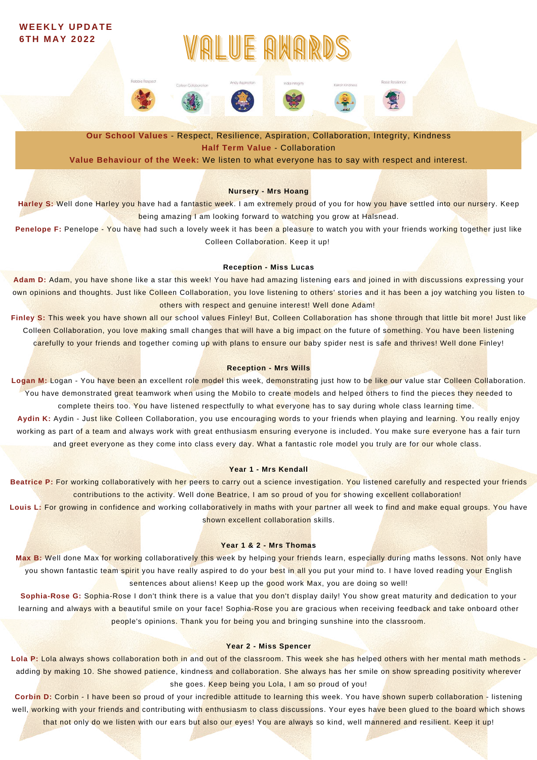### **WEEKLY UPDATE 6TH M AY 2 0 2 2**

# RLUE ANA



**Our School Values** - Respect, Resilience, Aspiration, Collaboration, Integrity, Kindness **Half Term Value** - Collaboration

**Value Behaviour of the Week:** We listen to what everyone has to say with respect and interest.

#### **Nursery - Mrs Hoang**

Harley S: Well done Harley you have had a fantastic week. I am extremely proud of you for how you have settled into our nursery. Keep being amazing I am looking forward to watching you grow at Halsnead.

**Penelope F:** Penelope - You have had such a lovely week it has been a pleasure to watch you with your friends working together just like Colleen Collaboration. Keep it up!

#### **Reception - Miss Lucas**

**Adam D:** Adam, you have shone like a star this week! You have had amazing listening ears and joined in with discussions expressing your own opinions and thoughts. Just like Colleen Collaboration, you love listening to others' stories and it has been a joy watching you listen to others with respect and genuine interest! Well done Adam!

Finley S: This week you have shown all our school values Finley! But, Colleen Collaboration has shone through that little bit more! Just like Colleen Collaboration, you love making small changes that will have a big impact on the future of something. You have been listening carefully to your friends and together coming up with plans to ensure our baby spider nest is safe and thrives! Well done Finley!

#### **Reception - Mrs Wills**

Logan M: Logan - You have been an excellent role model this week, demonstrating just how to be like our value star Colleen Collaboration. You have demonstrated great teamwork when using the Mobilo to create models and helped others to find the pieces they needed to complete theirs too. You have listened respectfully to what everyone has to say during whole class learning time. **Aydin K:** Aydin - Just like Colleen Collaboration, you use encouraging words to your friends when playing and learning. You really enjoy working as part of a team and always work with great enthusiasm ensuring everyone is included. You make sure everyone has a fair turn

and greet everyone as they come into class every day. What a fantastic role model you truly are for our whole class.

#### **Year 1 - Mrs Kendall**

**Beatrice P:** For working collaboratively with her peers to carry out a science investigation. You listened carefully and respected your friends contributions to the activity. Well done Beatrice, I am so proud of you for showing excellent collaboration!

**Louis L:** For growing in confidence and working collaboratively in maths with your partner all week to find and make equal groups. You have shown excellent collaboration skills.

#### **Year 1 & 2 - Mrs Thomas**

**Max B:** Well done Max for working collaboratively this week by helping your friends learn, especially during maths lessons. Not only have you shown fantastic team spirit you have really aspired to do your best in all you put your mind to. I have loved reading your English sentences about aliens! Keep up the good work Max, you are doing so well!

**Sophia-Rose G:** Sophia-Rose I don't think there is a value that you don't display daily! You show great maturity and dedication to your learning and always with a beautiful smile on your face! Sophia-Rose you are gracious when receiving feedback and take onboard other people's opinions. Thank you for being you and bringing sunshine into the classroom.

#### **Year 2 - Miss Spencer**

**Lola P:** Lola always shows collaboration both in and out of the classroom. This week she has helped others with her mental math methods adding by making 10. She showed patience, kindness and collaboration. She always has her smile on show spreading positivity wherever she goes. Keep being you Lola, I am so proud of you!

**Corbin D:** Corbin - I have been so proud of your incredible attitude to learning this week. You have shown superb collaboration - listening well, working with your friends and contributing with enthusiasm to class discussions. Your eyes have been glued to the board which shows that not only do we listen with our ears but also our eyes! You are always so kind, well mannered and resilient. Keep it up!